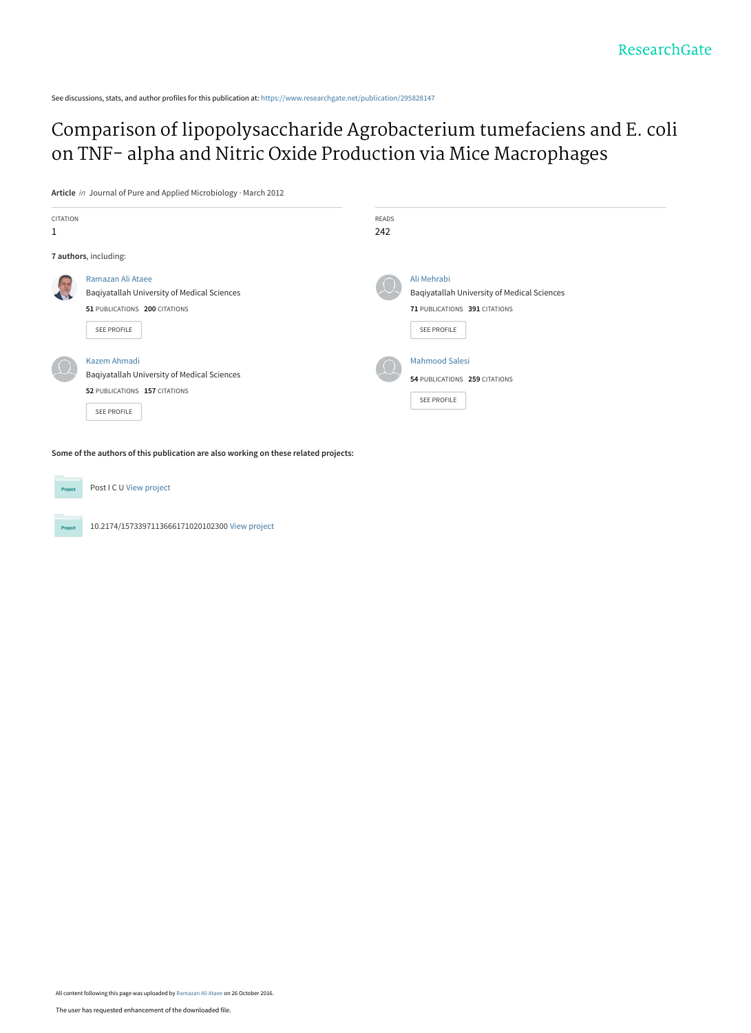See discussions, stats, and author profiles for this publication at: [https://www.researchgate.net/publication/295828147](https://www.researchgate.net/publication/295828147_Comparison_of_lipopolysaccharide_Agrobacterium_tumefaciens_and_E_coli_on_TNF-_alpha_and_Nitric_Oxide_Production_via_Mice_Macrophages?enrichId=rgreq-09a3478eeff28564c965653da2855a0d-XXX&enrichSource=Y292ZXJQYWdlOzI5NTgyODE0NztBUzo0MjEyNTkyNDc2NjkyNDhAMTQ3NzQ0NzQzOTM4OA%3D%3D&el=1_x_2&_esc=publicationCoverPdf)

[Comparison of lipopolysaccharide Agrobacterium tumefaciens and E. coli](https://www.researchgate.net/publication/295828147_Comparison_of_lipopolysaccharide_Agrobacterium_tumefaciens_and_E_coli_on_TNF-_alpha_and_Nitric_Oxide_Production_via_Mice_Macrophages?enrichId=rgreq-09a3478eeff28564c965653da2855a0d-XXX&enrichSource=Y292ZXJQYWdlOzI5NTgyODE0NztBUzo0MjEyNTkyNDc2NjkyNDhAMTQ3NzQ0NzQzOTM4OA%3D%3D&el=1_x_3&_esc=publicationCoverPdf) on TNF- alpha and Nitric Oxide Production via Mice Macrophages

**Article** in Journal of Pure and Applied Microbiology · March 2012

| CITATION<br>1 |                                                                                                                  | <b>READS</b><br>242 |                                                                                                                   |  |
|---------------|------------------------------------------------------------------------------------------------------------------|---------------------|-------------------------------------------------------------------------------------------------------------------|--|
|               | 7 authors, including:                                                                                            |                     |                                                                                                                   |  |
|               | Ramazan Ali Ataee<br>Baqiyatallah University of Medical Sciences<br>51 PUBLICATIONS 200 CITATIONS<br>SEE PROFILE |                     | Ali Mehrabi<br>Bagiyatallah University of Medical Sciences<br>71 PUBLICATIONS 391 CITATIONS<br><b>SEE PROFILE</b> |  |
|               | Kazem Ahmadi<br>Baqiyatallah University of Medical Sciences<br>52 PUBLICATIONS 157 CITATIONS<br>SEE PROFILE      |                     | <b>Mahmood Salesi</b><br>54 PUBLICATIONS 259 CITATIONS<br><b>SEE PROFILE</b>                                      |  |

**Some of the authors of this publication are also working on these related projects:**

Post I C U [View project](https://www.researchgate.net/project/Post-I-C-U?enrichId=rgreq-09a3478eeff28564c965653da2855a0d-XXX&enrichSource=Y292ZXJQYWdlOzI5NTgyODE0NztBUzo0MjEyNTkyNDc2NjkyNDhAMTQ3NzQ0NzQzOTM4OA%3D%3D&el=1_x_9&_esc=publicationCoverPdf) Proj 10.2174/1573397113666171020102300 [View project](https://www.researchgate.net/project/102174-1573397113666171020102300?enrichId=rgreq-09a3478eeff28564c965653da2855a0d-XXX&enrichSource=Y292ZXJQYWdlOzI5NTgyODE0NztBUzo0MjEyNTkyNDc2NjkyNDhAMTQ3NzQ0NzQzOTM4OA%3D%3D&el=1_x_9&_esc=publicationCoverPdf)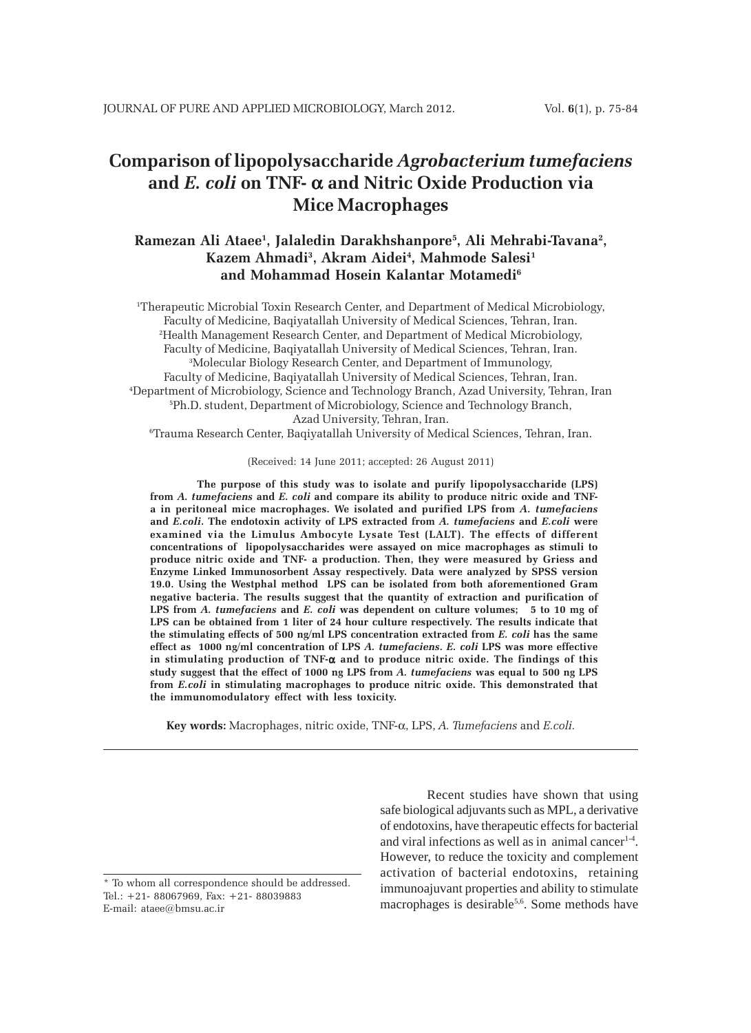# **Comparison of lipopolysaccharide** *Agrobacterium tumefaciens* **and** *E. coli* **on TNF-** α **and Nitric Oxide Production via Mice Macrophages**

# **Ramezan Ali Ataee1 , Jalaledin Darakhshanpore5 , Ali Mehrabi-Tavana2 , Kazem Ahmadi3 , Akram Aidei4 , Mahmode Salesi1 and Mohammad Hosein Kalantar Motamedi6**

1 Therapeutic Microbial Toxin Research Center, and Department of Medical Microbiology, Faculty of Medicine, Baqiyatallah University of Medical Sciences, Tehran, Iran. 2 Health Management Research Center, and Department of Medical Microbiology, Faculty of Medicine, Baqiyatallah University of Medical Sciences, Tehran, Iran. 3 Molecular Biology Research Center, and Department of Immunology, Faculty of Medicine, Baqiyatallah University of Medical Sciences, Tehran, Iran. 4 Department of Microbiology, Science and Technology Branch, Azad University, Tehran, Iran 5 Ph.D. student, Department of Microbiology, Science and Technology Branch, Azad University, Tehran, Iran.

6 Trauma Research Center, Baqiyatallah University of Medical Sciences, Tehran, Iran.

(Received: 14 June 2011; accepted: 26 August 2011)

**The purpose of this study was to isolate and purify lipopolysaccharide (LPS) from** *A. tumefaciens* **and** *E. coli* **and compare its ability to produce nitric oxide and TNFa in peritoneal mice macrophages. We isolated and purified LPS from** *A. tumefaciens* **and** *E.coli***. The endotoxin activity of LPS extracted from** *A. tumefaciens* **and** *E.coli* **were examined via the Limulus Ambocyte Lysate Test (LALT). The effects of different concentrations of lipopolysaccharides were assayed on mice macrophages as stimuli to produce nitric oxide and TNF- a production. Then, they were measured by Griess and Enzyme Linked Immunosorbent Assay respectively. Data were analyzed by SPSS version 19.0. Using the Westphal method LPS can be isolated from both aforementioned Gram negative bacteria. The results suggest that the quantity of extraction and purification of LPS from** *A. tumefaciens* **and** *E. coli* **was dependent on culture volumes; 5 to 10 mg of LPS can be obtained from 1 liter of 24 hour culture respectively. The results indicate that the stimulating effects of 500 ng/ml LPS concentration extracted from** *E. coli* **has the same effect as 1000 ng/ml concentration of LPS** *A. tumefaciens***.** *E. coli* **LPS was more effective in stimulating production of TNF-**α **and to produce nitric oxide. The findings of this study suggest that the effect of 1000 ng LPS from** *A. tumefaciens* **was equal to 500 ng LPS from** *E.coli* **in stimulating macrophages to produce nitric oxide. This demonstrated that the immunomodulatory effect with less toxicity.**

**Key words:** Macrophages, nitric oxide, TNF-α, LPS, *A. Tumefaciens* and *E.coli.*

Recent studies have shown that using safe biological adjuvants such as MPL, a derivative of endotoxins, have therapeutic effects for bacterial and viral infections as well as in animal cancer<sup>1-4</sup>. However, to reduce the toxicity and complement activation of bacterial endotoxins, retaining immunoajuvant properties and ability to stimulate macrophages is desirable<sup>5,6</sup>. Some methods have

<sup>\*</sup> To whom all correspondence should be addressed. Tel.: +21- 88067969, Fax: +21- 88039883 E-mail: ataee@bmsu.ac.ir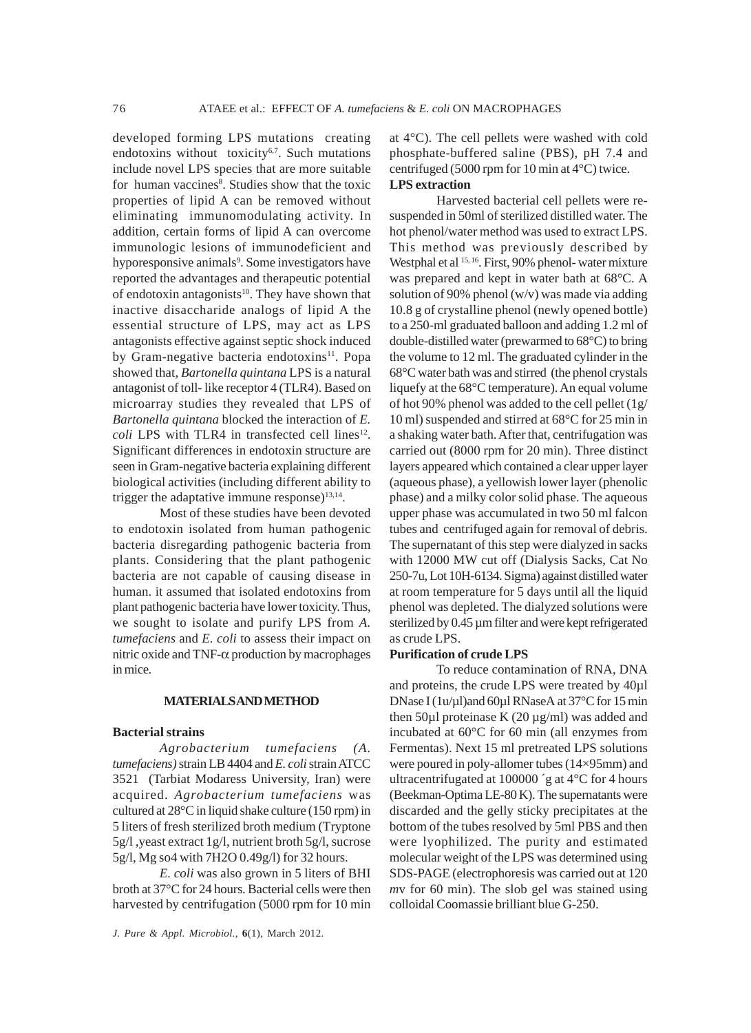developed forming LPS mutations creating endotoxins without toxicity<sup>6,7</sup>. Such mutations include novel LPS species that are more suitable for human vaccines<sup>8</sup>. Studies show that the toxic properties of lipid A can be removed without eliminating immunomodulating activity. In addition, certain forms of lipid A can overcome immunologic lesions of immunodeficient and hyporesponsive animals<sup>9</sup>. Some investigators have reported the advantages and therapeutic potential of endotoxin antagonists<sup>10</sup>. They have shown that inactive disaccharide analogs of lipid A the essential structure of LPS, may act as LPS antagonists effective against septic shock induced by Gram-negative bacteria endotoxins<sup>11</sup>. Popa showed that, *Bartonella quintana* LPS is a natural antagonist of toll- like receptor 4 (TLR4). Based on microarray studies they revealed that LPS of *Bartonella quintana* blocked the interaction of *E.*  $\text{coll}$  LPS with TLR4 in transfected cell lines<sup>12</sup>. Significant differences in endotoxin structure are seen in Gram-negative bacteria explaining different biological activities (including different ability to trigger the adaptative immune response) $13,14$ .

Most of these studies have been devoted to endotoxin isolated from human pathogenic bacteria disregarding pathogenic bacteria from plants. Considering that the plant pathogenic bacteria are not capable of causing disease in human. it assumed that isolated endotoxins from plant pathogenic bacteria have lower toxicity. Thus, we sought to isolate and purify LPS from *A. tumefaciens* and *E. coli* to assess their impact on nitric oxide and TNF-α production by macrophages in mice.

#### **MATERIALS AND METHOD**

#### **Bacterial strains**

*Agrobacterium tumefaciens (A. tumefaciens)* strain LB 4404 and *E. coli* strain ATCC 3521 (Tarbiat Modaress University, Iran) were acquired. *Agrobacterium tumefaciens* was cultured at 28°C in liquid shake culture (150 rpm) in 5 liters of fresh sterilized broth medium (Tryptone 5g/l ,yeast extract 1g/l, nutrient broth 5g/l, sucrose 5g/l, Mg so4 with 7H2O 0.49g/l) for 32 hours.

*E. coli* was also grown in 5 liters of BHI broth at 37°C for 24 hours. Bacterial cells were then harvested by centrifugation (5000 rpm for 10 min

*J. Pure & Appl. Microbiol.,* **6**(1), March 2012.

at 4°C). The cell pellets were washed with cold phosphate-buffered saline (PBS), pH 7.4 and centrifuged (5000 rpm for 10 min at 4°C) twice. **LPS extraction**

Harvested bacterial cell pellets were resuspended in 50ml of sterilized distilled water. The hot phenol/water method was used to extract LPS. This method was previously described by Westphal et al <sup>15, 16</sup>. First, 90% phenol- water mixture was prepared and kept in water bath at 68°C. A solution of 90% phenol (w/v) was made via adding 10.8 g of crystalline phenol (newly opened bottle) to a 250-ml graduated balloon and adding 1.2 ml of double-distilled water (prewarmed to 68°C) to bring the volume to 12 ml. The graduated cylinder in the 68°C water bath was and stirred (the phenol crystals liquefy at the 68°C temperature). An equal volume of hot 90% phenol was added to the cell pellet (1g/ 10 ml) suspended and stirred at 68°C for 25 min in a shaking water bath. After that, centrifugation was carried out (8000 rpm for 20 min). Three distinct layers appeared which contained a clear upper layer (aqueous phase), a yellowish lower layer (phenolic phase) and a milky color solid phase. The aqueous upper phase was accumulated in two 50 ml falcon tubes and centrifuged again for removal of debris. The supernatant of this step were dialyzed in sacks with 12000 MW cut off (Dialysis Sacks, Cat No 250-7u, Lot 10H-6134. Sigma) against distilled water at room temperature for 5 days until all the liquid phenol was depleted. The dialyzed solutions were sterilized by 0.45 µm filter and were kept refrigerated as crude LPS.

#### **Purification of crude LPS**

To reduce contamination of RNA, DNA and proteins, the crude LPS were treated by 40µl DNase I (1u/µl)and 60µl RNaseA at 37°C for 15 min then 50µl proteinase K (20 µg/ml) was added and incubated at 60°C for 60 min (all enzymes from Fermentas). Next 15 ml pretreated LPS solutions were poured in poly-allomer tubes (14×95mm) and ultracentrifugated at 100000 ´g at 4°C for 4 hours (Beekman-Optima LE-80 K). The supernatants were discarded and the gelly sticky precipitates at the bottom of the tubes resolved by 5ml PBS and then were lyophilized. The purity and estimated molecular weight of the LPS was determined using SDS-PAGE (electrophoresis was carried out at 120 *m*v for 60 min). The slob gel was stained using colloidal Coomassie brilliant blue G-250.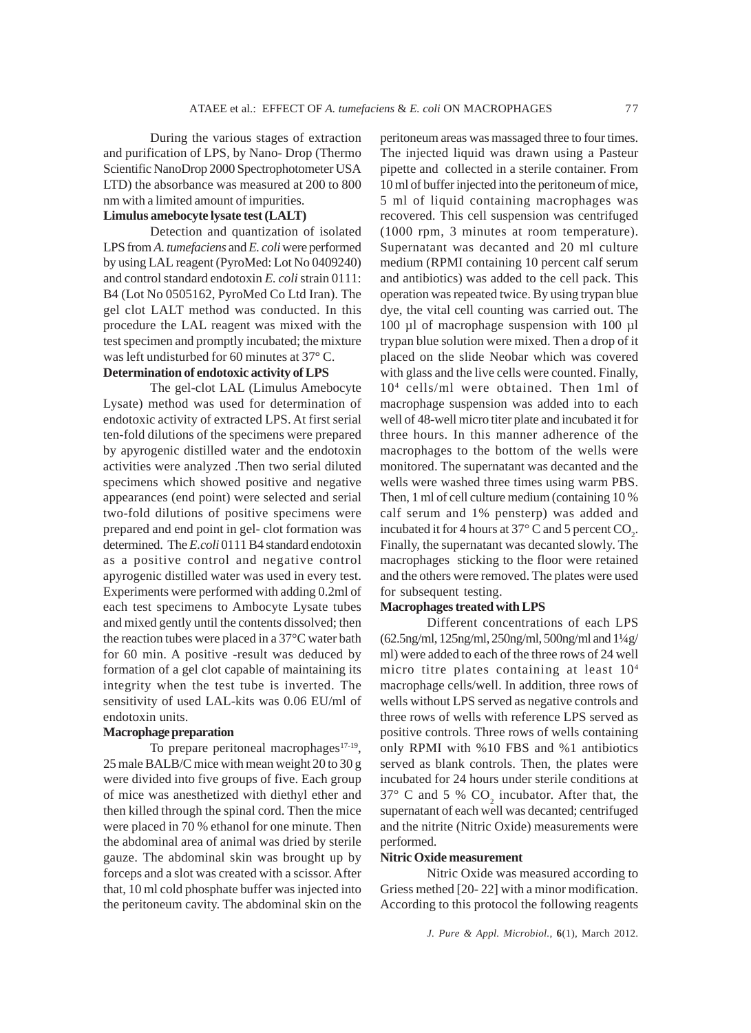During the various stages of extraction and purification of LPS, by Nano- Drop (Thermo Scientific NanoDrop 2000 Spectrophotometer USA LTD) the absorbance was measured at 200 to 800 nm with a limited amount of impurities.

## **Limulus amebocyte lysate test (LALT)**

Detection and quantization of isolated LPS from *A. tumefaciens* and *E. coli* were performed by using LAL reagent (PyroMed: Lot No 0409240) and control standard endotoxin *E. coli* strain 0111: B4 (Lot No 0505162, PyroMed Co Ltd Iran). The gel clot LALT method was conducted. In this procedure the LAL reagent was mixed with the test specimen and promptly incubated; the mixture was left undisturbed for 60 minutes at 37**°** C.

# **Determination of endotoxic activity of LPS**

The gel-clot LAL (Limulus Amebocyte Lysate) method was used for determination of endotoxic activity of extracted LPS. At first serial ten-fold dilutions of the specimens were prepared by apyrogenic distilled water and the endotoxin activities were analyzed .Then two serial diluted specimens which showed positive and negative appearances (end point) were selected and serial two-fold dilutions of positive specimens were prepared and end point in gel- clot formation was determined. The *E.coli* 0111 B4 standard endotoxin as a positive control and negative control apyrogenic distilled water was used in every test. Experiments were performed with adding 0.2ml of each test specimens to Ambocyte Lysate tubes and mixed gently until the contents dissolved; then the reaction tubes were placed in a 37°C water bath for 60 min. A positive -result was deduced by formation of a gel clot capable of maintaining its integrity when the test tube is inverted. The sensitivity of used LAL-kits was 0.06 EU/ml of endotoxin units.

### **Macrophage preparation**

To prepare peritoneal macrophages<sup>17-19</sup>, 25 male BALB/C mice with mean weight 20 to 30 g were divided into five groups of five. Each group of mice was anesthetized with diethyl ether and then killed through the spinal cord. Then the mice were placed in 70 % ethanol for one minute. Then the abdominal area of animal was dried by sterile gauze. The abdominal skin was brought up by forceps and a slot was created with a scissor. After that, 10 ml cold phosphate buffer was injected into the peritoneum cavity. The abdominal skin on the peritoneum areas was massaged three to four times. The injected liquid was drawn using a Pasteur pipette and collected in a sterile container. From 10 ml of buffer injected into the peritoneum of mice, 5 ml of liquid containing macrophages was recovered. This cell suspension was centrifuged (1000 rpm, 3 minutes at room temperature). Supernatant was decanted and 20 ml culture medium (RPMI containing 10 percent calf serum and antibiotics) was added to the cell pack. This operation was repeated twice. By using trypan blue dye, the vital cell counting was carried out. The 100 µl of macrophage suspension with 100 µl trypan blue solution were mixed. Then a drop of it placed on the slide Neobar which was covered with glass and the live cells were counted. Finally, 104 cells/ml were obtained. Then 1ml of macrophage suspension was added into to each well of 48-well micro titer plate and incubated it for three hours. In this manner adherence of the macrophages to the bottom of the wells were monitored. The supernatant was decanted and the wells were washed three times using warm PBS. Then, 1 ml of cell culture medium (containing 10 % calf serum and 1% pensterp) was added and incubated it for 4 hours at 37 $\degree$  C and 5 percent CO<sub>2</sub>. Finally, the supernatant was decanted slowly. The macrophages sticking to the floor were retained and the others were removed. The plates were used for subsequent testing.

#### **Macrophages treated with LPS**

Different concentrations of each LPS (62.5ng/ml, 125ng/ml, 250ng/ml, 500ng/ml and 1¼g/ ml) were added to each of the three rows of 24 well micro titre plates containing at least  $10<sup>4</sup>$ macrophage cells/well. In addition, three rows of wells without LPS served as negative controls and three rows of wells with reference LPS served as positive controls. Three rows of wells containing only RPMI with %10 FBS and %1 antibiotics served as blank controls. Then, the plates were incubated for 24 hours under sterile conditions at 37 $\degree$  C and 5 % CO<sub>2</sub> incubator. After that, the supernatant of each well was decanted; centrifuged and the nitrite (Nitric Oxide) measurements were performed.

#### **Nitric Oxide measurement**

Nitric Oxide was measured according to Griess methed [20- 22] with a minor modification. According to this protocol the following reagents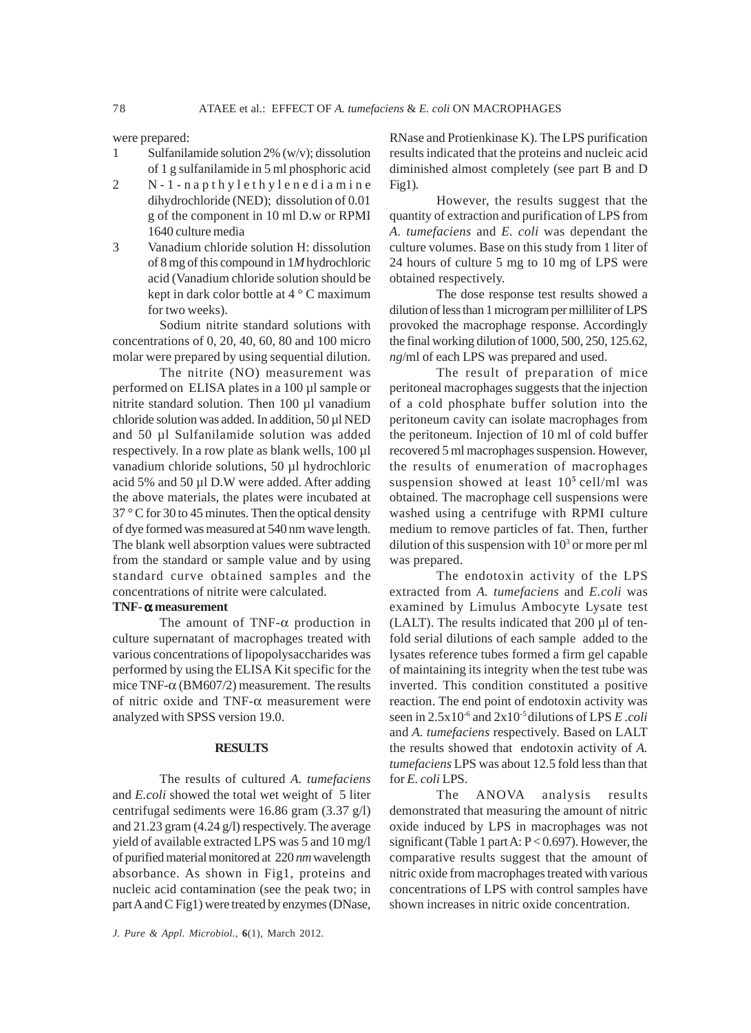were prepared:

- 1 Sulfanilamide solution 2% (w/v); dissolution of 1 g sulfanilamide in 5 ml phosphoric acid
- 2 N-1-napthylethylenediamine dihydrochloride (NED); dissolution of 0.01 g of the component in 10 ml D.w or RPMI 1640 culture media
- 3 Vanadium chloride solution H: dissolution of 8 mg of this compound in 1*M* hydrochloric acid (Vanadium chloride solution should be kept in dark color bottle at 4 ° C maximum for two weeks).

Sodium nitrite standard solutions with concentrations of 0, 20, 40, 60, 80 and 100 micro molar were prepared by using sequential dilution.

The nitrite (NO) measurement was performed on ELISA plates in a 100 µl sample or nitrite standard solution. Then 100 µl vanadium chloride solution was added. In addition, 50 µl NED and 50 µl Sulfanilamide solution was added respectively. In a row plate as blank wells, 100 µl vanadium chloride solutions, 50 µl hydrochloric acid 5% and 50 µl D.W were added. After adding the above materials, the plates were incubated at 37 ° C for 30 to 45 minutes. Then the optical density of dye formed was measured at 540 nm wave length. The blank well absorption values were subtracted from the standard or sample value and by using standard curve obtained samples and the concentrations of nitrite were calculated.

#### **TNF-** α **measurement**

The amount of TNF-α production in culture supernatant of macrophages treated with various concentrations of lipopolysaccharides was performed by using the ELISA Kit specific for the mice TNF- $\alpha$  (BM607/2) measurement. The results of nitric oxide and TNF- $\alpha$  measurement were analyzed with SPSS version 19.0.

#### **RESULTS**

The results of cultured *A. tumefaciens* and *E.coli* showed the total wet weight of 5 liter centrifugal sediments were 16.86 gram (3.37 g/l) and 21.23 gram (4.24 g/l) respectively. The average yield of available extracted LPS was 5 and 10 mg/l of purified material monitored at 220 *nm* wavelength absorbance. As shown in Fig1, proteins and nucleic acid contamination (see the peak two; in part A and C Fig1) were treated by enzymes (DNase,

*J. Pure & Appl. Microbiol.,* **6**(1), March 2012.

RNase and Protienkinase K). The LPS purification results indicated that the proteins and nucleic acid diminished almost completely (see part B and D Fig1).

However, the results suggest that the quantity of extraction and purification of LPS from *A. tumefaciens* and *E. coli* was dependant the culture volumes. Base on this study from 1 liter of 24 hours of culture 5 mg to 10 mg of LPS were obtained respectively.

The dose response test results showed a dilution of less than 1 microgram per milliliter of LPS provoked the macrophage response. Accordingly the final working dilution of 1000, 500, 250, 125.62, *ng*/ml of each LPS was prepared and used.

The result of preparation of mice peritoneal macrophages suggests that the injection of a cold phosphate buffer solution into the peritoneum cavity can isolate macrophages from the peritoneum. Injection of 10 ml of cold buffer recovered 5 ml macrophages suspension. However, the results of enumeration of macrophages suspension showed at least 10**<sup>5</sup>** cell/ml was obtained. The macrophage cell suspensions were washed using a centrifuge with RPMI culture medium to remove particles of fat. Then, further dilution of this suspension with  $10<sup>3</sup>$  or more per ml was prepared.

The endotoxin activity of the LPS extracted from *A. tumefaciens* and *E.coli* was examined by Limulus Ambocyte Lysate test (LALT). The results indicated that 200 µl of tenfold serial dilutions of each sample added to the lysates reference tubes formed a firm gel capable of maintaining its integrity when the test tube was inverted. This condition constituted a positive reaction. The end point of endotoxin activity was seen in 2.5x10-6 and 2x10-5 dilutions of LPS *E .coli* and *A. tumefaciens* respectively. Based on LALT the results showed that endotoxin activity of *A. tumefaciens* LPS was about 12.5 fold less than that for *E. coli* LPS.

The ANOVA analysis results demonstrated that measuring the amount of nitric oxide induced by LPS in macrophages was not significant (Table 1 part A: P < 0.697). However, the comparative results suggest that the amount of nitric oxide from macrophages treated with various concentrations of LPS with control samples have shown increases in nitric oxide concentration.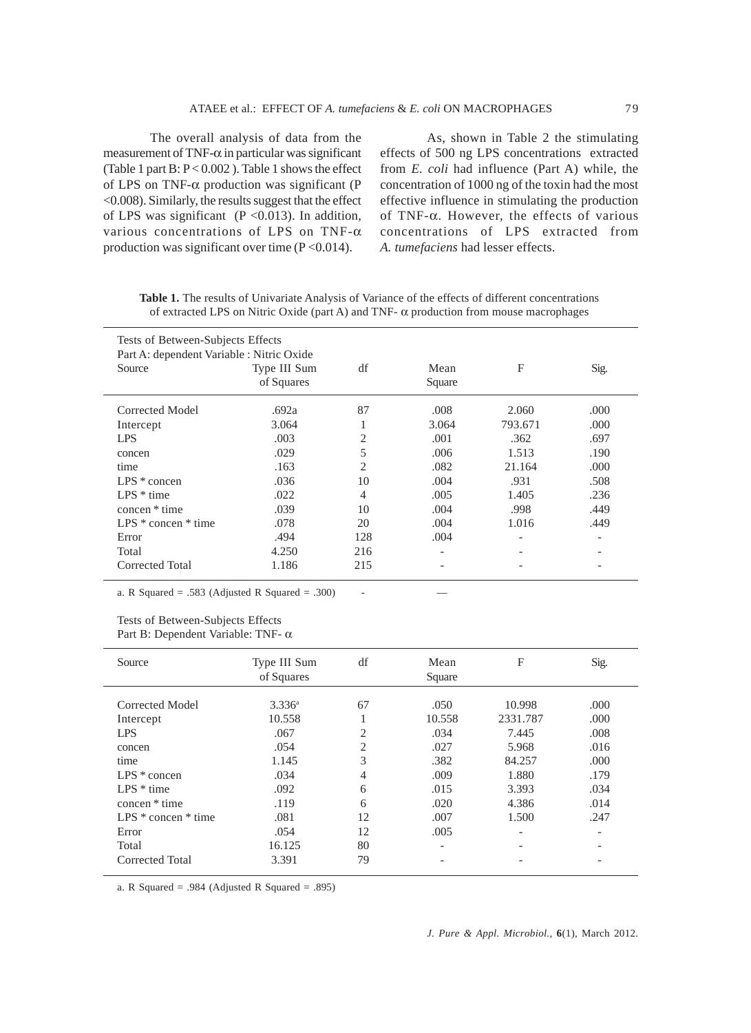The overall analysis of data from the measurement of TNF- $\alpha$  in particular was significant (Table 1 part  $B: P < 0.002$  ). Table 1 shows the effect of LPS on TNF-α production was significant (P <0.008). Similarly, the results suggest that the effect of LPS was significant ( $P < 0.013$ ). In addition, various concentrations of LPS on TNF-α production was significant over time  $(P<0.014)$ .

As, shown in Table 2 the stimulating effects of 500 ng LPS concentrations extracted from *E. coli* had influence (Part A) while, the concentration of 1000 ng of the toxin had the most effective influence in stimulating the production of TNF-α. However, the effects of various concentrations of LPS extracted from *A. tumefaciens* had lesser effects.

**Table 1.** The results of Univariate Analysis of Variance of the effects of different concentrations of extracted LPS on Nitric Oxide (part A) and TNF- α production from mouse macrophages

| Tests of Between-Subjects Effects<br>Part A: dependent Variable : Nitric Oxide |                            |                |                |                          |      |  |
|--------------------------------------------------------------------------------|----------------------------|----------------|----------------|--------------------------|------|--|
| Source                                                                         | Type III Sum<br>of Squares | df             | Mean<br>Square | F                        | Sig. |  |
| Corrected Model                                                                | .692a                      | 87             | .008           | 2.060                    | .000 |  |
| Intercept                                                                      | 3.064                      | л.             | 3.064          | 793.671                  | .000 |  |
| LPS.                                                                           | .003                       | 2              | .001           | .362                     | .697 |  |
| concen                                                                         | .029                       | 5              | .006           | 1.513                    | .190 |  |
| time                                                                           | .163                       | $\overline{c}$ | .082           | 21.164                   | .000 |  |
| $LPS * concen$                                                                 | .036                       | 10             | .004           | .931                     | .508 |  |
| $LPS * time$                                                                   | .022                       | 4              | .005           | 1.405                    | .236 |  |
| concen * time                                                                  | .039                       | 10             | .004           | .998                     | .449 |  |
| LPS $*$ concen $*$ time                                                        | .078                       | 20             | .004           | 1.016                    | .449 |  |
| Error                                                                          | .494                       | 128            | .004           | $\overline{\phantom{a}}$ | -    |  |
| Total                                                                          | 4.250                      | 216            |                |                          |      |  |
| Corrected Total                                                                | 1.186                      | 215            |                |                          |      |  |

a. R Squared = .583 (Adjusted R Squared = .300)

Tests of Between-Subjects Effects

Part B: Dependent Variable: TNF- α

| Source                  | Type III Sum<br>of Squares | df             | Mean<br>Square           | F                        | Sig. |
|-------------------------|----------------------------|----------------|--------------------------|--------------------------|------|
| Corrected Model         | $3.336^{\circ}$            | 67             | .050                     | 10.998                   | .000 |
| Intercept               | 10.558                     | 1              | 10.558                   | 2331.787                 | .000 |
| <b>LPS</b>              | .067                       | $\overline{c}$ | .034                     | 7.445                    | .008 |
| concen                  | .054                       | $\overline{2}$ | .027                     | 5.968                    | .016 |
| time                    | 1.145                      | 3              | .382                     | 84.257                   | .000 |
| $LPS * concen$          | .034                       | $\overline{4}$ | .009                     | 1.880                    | .179 |
| $LPS * time$            | .092                       | 6              | .015                     | 3.393                    | .034 |
| concen * time           | .119                       | 6              | .020                     | 4.386                    | .014 |
| LPS $*$ concen $*$ time | .081                       | 12             | .007                     | 1.500                    | .247 |
| Error                   | .054                       | 12             | .005                     | $\overline{\phantom{0}}$ |      |
| Total                   | 16.125                     | 80             | $\overline{\phantom{0}}$ |                          |      |
| Corrected Total         | 3.391                      | 79             | $\overline{\phantom{a}}$ |                          |      |

a. R Squared = .984 (Adjusted R Squared = .895)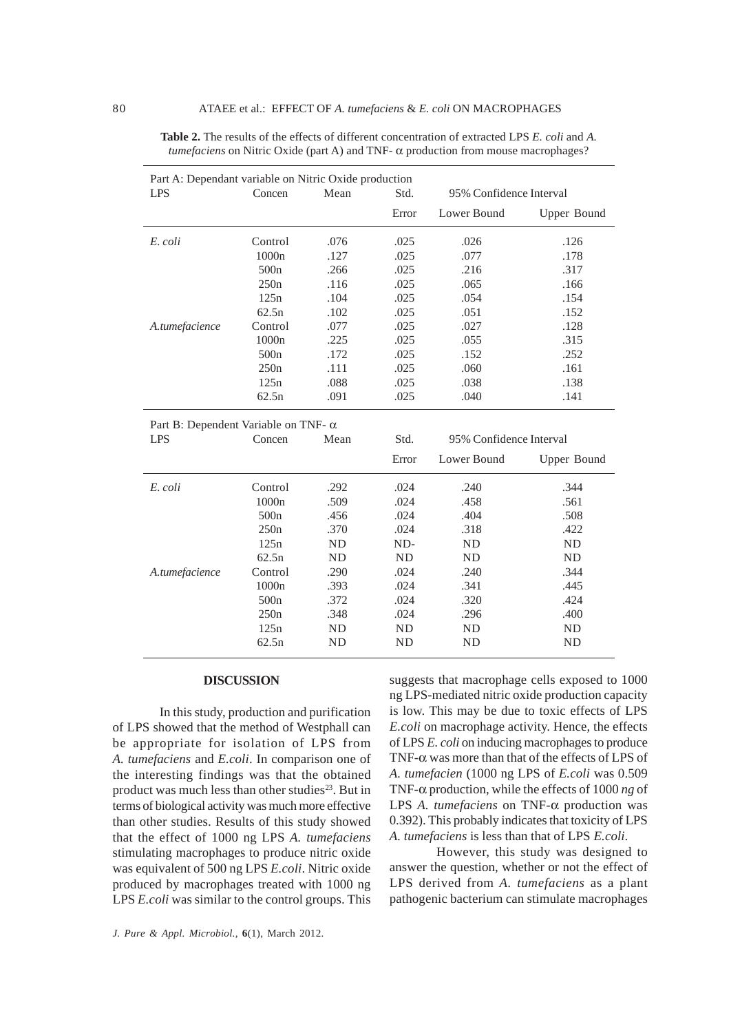| Part A: Dependant variable on Nitric Oxide production |                  |      |       |                         |             |  |
|-------------------------------------------------------|------------------|------|-------|-------------------------|-------------|--|
| <b>LPS</b>                                            | Concen           | Mean | Std.  | 95% Confidence Interval |             |  |
|                                                       |                  |      | Error | Lower Bound             | Upper Bound |  |
| E. coli                                               | Control          | .076 | .025  | .026                    | .126        |  |
|                                                       | 1000n            | .127 | .025  | .077                    | .178        |  |
|                                                       | 500 <sub>n</sub> | .266 | .025  | .216                    | .317        |  |
|                                                       | 250n             | .116 | .025  | .065                    | .166        |  |
|                                                       | 125n             | .104 | .025  | .054                    | .154        |  |
|                                                       | 62.5n            | .102 | .025  | .051                    | .152        |  |
| A.tumefacience                                        | Control          | .077 | .025  | .027                    | .128        |  |
|                                                       | 1000n            | .225 | .025  | .055                    | .315        |  |
|                                                       | 500 <sub>n</sub> | .172 | .025  | .152                    | .252        |  |
|                                                       | 250n             | .111 | .025  | .060                    | .161        |  |
|                                                       | 125n             | .088 | .025  | .038                    | .138        |  |
|                                                       | 62.5n            | .091 | .025  | .040                    | .141        |  |
| Part B: Dependent Variable on TNF- $\alpha$           |                  |      |       |                         |             |  |
| <b>LPS</b>                                            | Concen           | Mean | Std.  | 95% Confidence Interval |             |  |
|                                                       |                  |      | Error | Lower Bound             | Upper Bound |  |

| <b>Table 2.</b> The results of the effects of different concentration of extracted LPS E, coli and A. |
|-------------------------------------------------------------------------------------------------------|
| <i>tumefaciens</i> on Nitric Oxide (part A) and TNF- $\alpha$ production from mouse macrophages?      |

| r art D. Dependent variable on Tivi- a |                  |           |           |                         |             |  |  |
|----------------------------------------|------------------|-----------|-----------|-------------------------|-------------|--|--|
| <b>LPS</b>                             | Concen           | Mean      | Std.      | 95% Confidence Interval |             |  |  |
|                                        |                  |           | Error     | Lower Bound             | Upper Bound |  |  |
| E. coli                                | Control          | .292      | .024      | .240                    | .344        |  |  |
|                                        | 1000n            | .509      | .024      | .458                    | .561        |  |  |
|                                        | 500 <sub>n</sub> | .456      | .024      | .404                    | .508        |  |  |
|                                        | 250n             | .370      | .024      | .318                    | .422        |  |  |
|                                        | 125n             | <b>ND</b> | ND-       | <b>ND</b>               | <b>ND</b>   |  |  |
|                                        | 62.5n            | <b>ND</b> | <b>ND</b> | <b>ND</b>               | <b>ND</b>   |  |  |
| A.tumefacience                         | Control          | .290      | .024      | .240                    | .344        |  |  |
|                                        | 1000n            | .393      | .024      | .341                    | .445        |  |  |
|                                        | 500 <sub>n</sub> | .372      | .024      | .320                    | .424        |  |  |
|                                        | 250n             | .348      | .024      | .296                    | .400        |  |  |
|                                        | 125n             | ND        | <b>ND</b> | <b>ND</b>               | ND.         |  |  |
|                                        | 62.5n            | ND        | <b>ND</b> | <b>ND</b>               | <b>ND</b>   |  |  |

## **DISCUSSION**

In this study, production and purification of LPS showed that the method of Westphall can be appropriate for isolation of LPS from *A. tumefaciens* and *E.coli*. In comparison one of the interesting findings was that the obtained product was much less than other studies<sup>23</sup>. But in terms of biological activity was much more effective than other studies. Results of this study showed that the effect of 1000 ng LPS *A. tumefaciens* stimulating macrophages to produce nitric oxide was equivalent of 500 ng LPS *E.coli*. Nitric oxide produced by macrophages treated with 1000 ng LPS *E.coli* was similar to the control groups. This

suggests that macrophage cells exposed to 1000 ng LPS-mediated nitric oxide production capacity is low. This may be due to toxic effects of LPS *E.coli* on macrophage activity. Hence, the effects of LPS *E. coli* on inducing macrophages to produce TNF-α was more than that of the effects of LPS of *A. tumefacien* (1000 ng LPS of *E.coli* was 0.509 TNF-α production, while the effects of 1000 *ng* of LPS *A. tumefaciens* on TNF-α production was 0.392). This probably indicates that toxicity of LPS *A. tumefaciens* is less than that of LPS *E.coli*.

However, this study was designed to answer the question, whether or not the effect of LPS derived from *A. tumefaciens* as a plant pathogenic bacterium can stimulate macrophages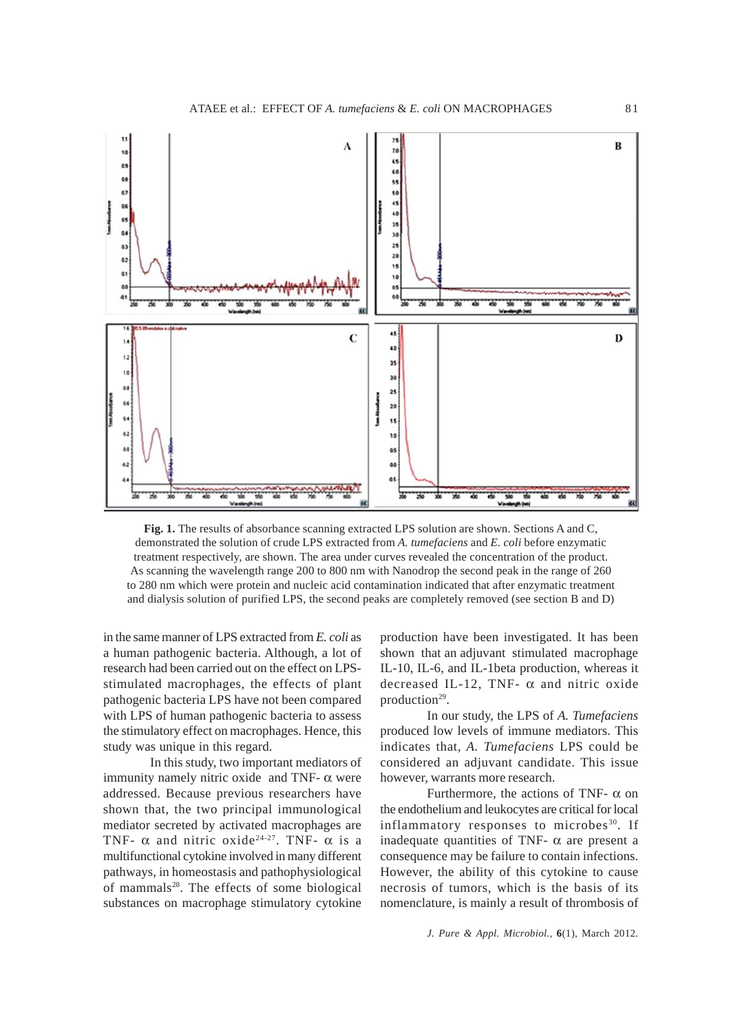

**Fig. 1.** The results of absorbance scanning extracted LPS solution are shown. Sections A and C, demonstrated the solution of crude LPS extracted from *A. tumefaciens* and *E. coli* before enzymatic treatment respectively, are shown. The area under curves revealed the concentration of the product. As scanning the wavelength range 200 to 800 nm with Nanodrop the second peak in the range of 260 to 280 nm which were protein and nucleic acid contamination indicated that after enzymatic treatment and dialysis solution of purified LPS, the second peaks are completely removed (see section B and D)

in the same manner of LPS extracted from *E. coli* as a human pathogenic bacteria. Although, a lot of research had been carried out on the effect on LPSstimulated macrophages, the effects of plant pathogenic bacteria LPS have not been compared with LPS of human pathogenic bacteria to assess the stimulatory effect on macrophages. Hence, this study was unique in this regard.

In this study, two important mediators of immunity namely nitric oxide and TNF- $\alpha$  were addressed. Because previous researchers have shown that, the two principal immunological mediator secreted by activated macrophages are TNF-  $\alpha$  and nitric oxide<sup>24-27</sup>. TNF-  $\alpha$  is a multifunctional cytokine involved in many different pathways, in homeostasis and pathophysiological of mammals<sup>28</sup>. The effects of some biological substances on macrophage stimulatory cytokine production have been investigated. It has been shown that an adjuvant stimulated macrophage IL-10, IL-6, and IL-1beta production, whereas it decreased IL-12, TNF-  $\alpha$  and nitric oxide production<sup>29</sup>.

In our study, the LPS of *A. Tumefaciens* produced low levels of immune mediators. This indicates that*, A. Tumefaciens* LPS could be considered an adjuvant candidate. This issue however, warrants more research.

Furthermore, the actions of TNF-  $\alpha$  on the endothelium and leukocytes are critical for local inflammatory responses to microbes<sup>30</sup>. If inadequate quantities of TNF-  $\alpha$  are present a consequence may be failure to contain infections. However, the ability of this cytokine to cause necrosis of tumors, which is the basis of its nomenclature, is mainly a result of thrombosis of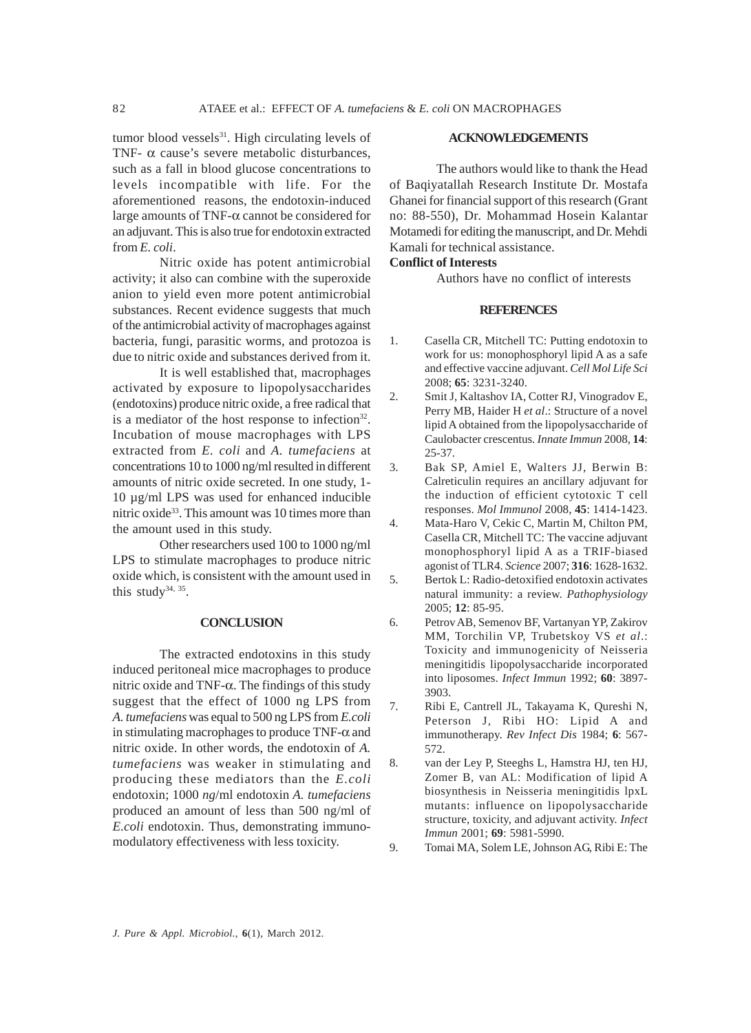tumor blood vessels $31$ . High circulating levels of TNF- $\alpha$  cause's severe metabolic disturbances, such as a fall in blood glucose concentrations to levels incompatible with life. For the aforementioned reasons, the endotoxin-induced large amounts of TNF-α cannot be considered for an adjuvant. This is also true for endotoxin extracted from *E. coli*.

Nitric oxide has potent antimicrobial activity; it also can combine with the superoxide anion to yield even more potent antimicrobial substances. Recent evidence suggests that much of the antimicrobial activity of macrophages against bacteria, fungi, parasitic worms, and protozoa is due to nitric oxide and substances derived from it.

It is well established that, macrophages activated by exposure to lipopolysaccharides (endotoxins) produce nitric oxide, a free radical that is a mediator of the host response to infection $32$ . Incubation of mouse macrophages with LPS extracted from *E. coli* and *A. tumefaciens* at concentrations 10 to 1000 ng/ml resulted in different amounts of nitric oxide secreted. In one study, 1- 10 µg/ml LPS was used for enhanced inducible nitric oxide<sup>33</sup>. This amount was 10 times more than the amount used in this study.

Other researchers used 100 to 1000 ng/ml LPS to stimulate macrophages to produce nitric oxide which, is consistent with the amount used in this study<sup>34, 35</sup>.

#### **CONCLUSION**

The extracted endotoxins in this study induced peritoneal mice macrophages to produce nitric oxide and TNF-α. The findings of this study suggest that the effect of 1000 ng LPS from *A. tumefaciens* was equal to 500 ng LPS from *E.coli* in stimulating macrophages to produce  $TNF-\alpha$  and nitric oxide. In other words, the endotoxin of *A. tumefaciens* was weaker in stimulating and producing these mediators than the *E.coli* endotoxin; 1000 *ng*/ml endotoxin *A. tumefaciens* produced an amount of less than 500 ng/ml of *E.coli* endotoxin. Thus, demonstrating immunomodulatory effectiveness with less toxicity.

#### **ACKNOWLEDGEMENTS**

The authors would like to thank the Head of Baqiyatallah Research Institute Dr. Mostafa Ghanei for financial support of this research (Grant no: 88-550), Dr. Mohammad Hosein Kalantar Motamedi for editing the manuscript, and Dr. Mehdi Kamali for technical assistance.

#### **Conflict of Interests**

Authors have no conflict of interests

#### **REFERENCES**

- 1. Casella CR, Mitchell TC: Putting endotoxin to work for us: monophosphoryl lipid A as a safe and effective vaccine adjuvant. *Cell Mol Life Sci* 2008; **65**: 3231-3240.
- 2. Smit J, Kaltashov IA, Cotter RJ, Vinogradov E, Perry MB, Haider H *et al*.: Structure of a novel lipid A obtained from the lipopolysaccharide of Caulobacter crescentus. *Innate Immun* 2008, **14**: 25-37.
- 3. Bak SP, Amiel E, Walters JJ, Berwin B: Calreticulin requires an ancillary adjuvant for the induction of efficient cytotoxic T cell responses. *Mol Immunol* 2008, **45**: 1414-1423.
- 4. Mata-Haro V, Cekic C, Martin M, Chilton PM, Casella CR, Mitchell TC: The vaccine adjuvant monophosphoryl lipid A as a TRIF-biased agonist of TLR4. *Science* 2007; **316**: 1628-1632.
- 5. Bertok L: Radio-detoxified endotoxin activates natural immunity: a review. *Pathophysiology* 2005; **12**: 85-95.
- 6. Petrov AB, Semenov BF, Vartanyan YP, Zakirov MM, Torchilin VP, Trubetskoy VS *et al*.: Toxicity and immunogenicity of Neisseria meningitidis lipopolysaccharide incorporated into liposomes. *Infect Immun* 1992; **60**: 3897- 3903.
- 7. Ribi E, Cantrell JL, Takayama K, Qureshi N, Peterson J, Ribi HO: Lipid A and immunotherapy. *Rev Infect Dis* 1984; **6**: 567- 572.
- 8. van der Ley P, Steeghs L, Hamstra HJ, ten HJ, Zomer B, van AL: Modification of lipid A biosynthesis in Neisseria meningitidis lpxL mutants: influence on lipopolysaccharide structure, toxicity, and adjuvant activity. *Infect Immun* 2001; **69**: 5981-5990.

<sup>9.</sup> Tomai MA, Solem LE, Johnson AG, Ribi E: The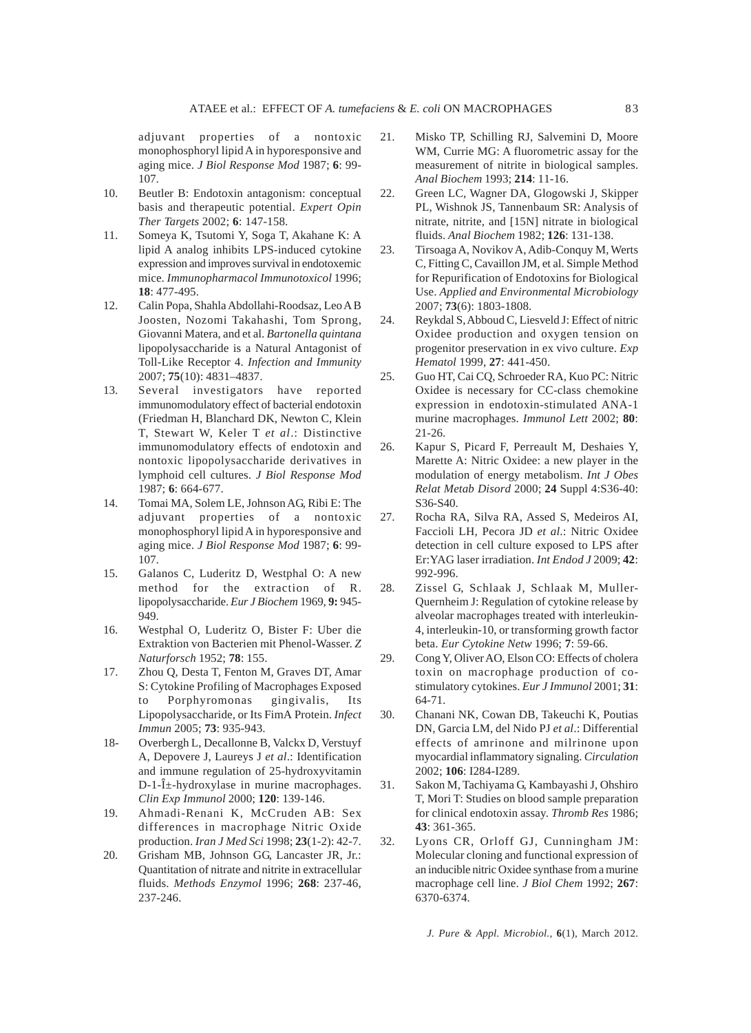adjuvant properties of a nontoxic monophosphoryl lipid A in hyporesponsive and aging mice. *J Biol Response Mod* 1987; **6**: 99- 107.

- 10. Beutler B: Endotoxin antagonism: conceptual basis and therapeutic potential. *Expert Opin Ther Targets* 2002; **6**: 147-158.
- 11. Someya K, Tsutomi Y, Soga T, Akahane K: A lipid A analog inhibits LPS-induced cytokine expression and improves survival in endotoxemic mice. *Immunopharmacol Immunotoxicol* 1996; **18**: 477-495.
- 12. Calin Popa, Shahla Abdollahi-Roodsaz, Leo A B Joosten, Nozomi Takahashi, Tom Sprong, Giovanni Matera, and et al. *Bartonella quintana* lipopolysaccharide is a Natural Antagonist of Toll-Like Receptor 4. *Infection and Immunity* 2007; **75**(10): 4831–4837.
- 13. Several investigators have reported immunomodulatory effect of bacterial endotoxin (Friedman H, Blanchard DK, Newton C, Klein T, Stewart W, Keler T *et al*.: Distinctive immunomodulatory effects of endotoxin and nontoxic lipopolysaccharide derivatives in lymphoid cell cultures. *J Biol Response Mod* 1987; **6**: 664-677.
- 14. Tomai MA, Solem LE, Johnson AG, Ribi E: The adjuvant properties of a nontoxic monophosphoryl lipid A in hyporesponsive and aging mice. *J Biol Response Mod* 1987; **6**: 99- 107.
- 15. Galanos C, Luderitz D, Westphal O: A new method for the extraction of R. lipopolysaccharide. *Eur J Biochem* 1969, **9:** 945- 949.
- 16. Westphal O, Luderitz O, Bister F: Uber die Extraktion von Bacterien mit Phenol-Wasser. *Z Naturforsch* 1952; **78**: 155.
- 17. Zhou Q, Desta T, Fenton M, Graves DT, Amar S: Cytokine Profiling of Macrophages Exposed to Porphyromonas gingivalis, Its Lipopolysaccharide, or Its FimA Protein. *Infect Immun* 2005; **73**: 935-943.
- 18- Overbergh L, Decallonne B, Valckx D, Verstuyf A, Depovere J, Laureys J *et al*.: Identification and immune regulation of 25-hydroxyvitamin  $D-1-\hat{I}$  -hydroxylase in murine macrophages. *Clin Exp Immunol* 2000; **120**: 139-146.
- 19. Ahmadi-Renani K, McCruden AB: Sex differences in macrophage Nitric Oxide production. *Iran J Med Sci* 1998; **23**(1-2): 42-7.
- 20. Grisham MB, Johnson GG, Lancaster JR, Jr.: Quantitation of nitrate and nitrite in extracellular fluids. *Methods Enzymol* 1996; **268**: 237-46, 237-246.
- 21. Misko TP, Schilling RJ, Salvemini D, Moore WM, Currie MG: A fluorometric assay for the measurement of nitrite in biological samples. *Anal Biochem* 1993; **214**: 11-16.
- 22. Green LC, Wagner DA, Glogowski J, Skipper PL, Wishnok JS, Tannenbaum SR: Analysis of nitrate, nitrite, and [15N] nitrate in biological fluids. *Anal Biochem* 1982; **126**: 131-138.
- 23. Tirsoaga A, Novikov A, Adib-Conquy M, Werts C, Fitting C, Cavaillon JM, et al. Simple Method for Repurification of Endotoxins for Biological Use. *Applied and Environmental Microbiology* 2007; **73**(6): 1803-1808.
- 24. Reykdal S, Abboud C, Liesveld J: Effect of nitric Oxidee production and oxygen tension on progenitor preservation in ex vivo culture. *Exp Hematol* 1999, **27**: 441-450.
- 25. Guo HT, Cai CQ, Schroeder RA, Kuo PC: Nitric Oxidee is necessary for CC-class chemokine expression in endotoxin-stimulated ANA-1 murine macrophages. *Immunol Lett* 2002; **80**: 21-26.
- 26. Kapur S, Picard F, Perreault M, Deshaies Y, Marette A: Nitric Oxidee: a new player in the modulation of energy metabolism. *Int J Obes Relat Metab Disord* 2000; **24** Suppl 4:S36-40: S36-S40.
- 27. Rocha RA, Silva RA, Assed S, Medeiros AI, Faccioli LH, Pecora JD *et al*.: Nitric Oxidee detection in cell culture exposed to LPS after Er:YAG laser irradiation. *Int Endod J* 2009; **42**: 992-996.
- 28. Zissel G, Schlaak J, Schlaak M, Muller-Quernheim J: Regulation of cytokine release by alveolar macrophages treated with interleukin-4, interleukin-10, or transforming growth factor beta. *Eur Cytokine Netw* 1996; **7**: 59-66.
- 29. Cong Y, Oliver AO, Elson CO: Effects of cholera toxin on macrophage production of costimulatory cytokines. *Eur J Immunol* 2001; **31**: 64-71.
- 30. Chanani NK, Cowan DB, Takeuchi K, Poutias DN, Garcia LM, del Nido PJ *et al*.: Differential effects of amrinone and milrinone upon myocardial inflammatory signaling. *Circulation* 2002; **106**: I284-I289.
- 31. Sakon M, Tachiyama G, Kambayashi J, Ohshiro T, Mori T: Studies on blood sample preparation for clinical endotoxin assay. *Thromb Res* 1986; **43**: 361-365.
- 32. Lyons CR, Orloff GJ, Cunningham JM: Molecular cloning and functional expression of an inducible nitric Oxidee synthase from a murine macrophage cell line. *J Biol Chem* 1992; **267**: 6370-6374.